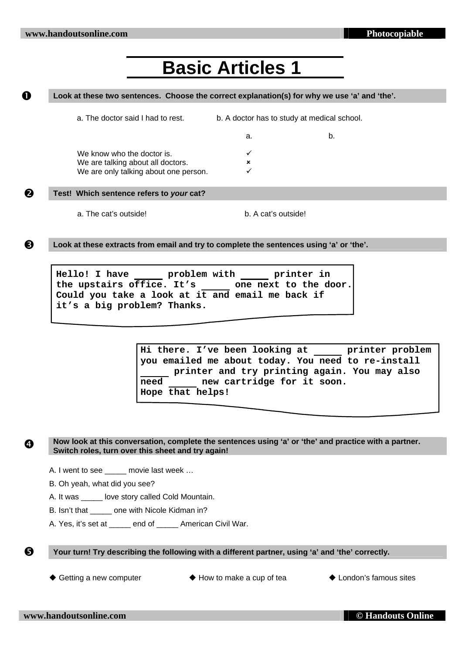# **Basic Articles 1**

### **1** Look at these two sentences. Choose the correct explanation(s) for why we use 'a' and 'the'.

|   | a. The doctor said I had to rest.        | b. A doctor has to study at medical school. |    |  |
|---|------------------------------------------|---------------------------------------------|----|--|
|   |                                          | а.                                          | b. |  |
|   | We know who the doctor is.               |                                             |    |  |
|   | We are talking about all doctors.        | ×                                           |    |  |
|   | We are only talking about one person.    |                                             |    |  |
| 2 | Test! Which sentence refers to your cat? |                                             |    |  |

a. The cat's outside! b. A cat's outside!

**B** Look at these extracts from email and try to complete the sentences using 'a' or 'the'.

Hello! I have <u>each problem</u> with printer in **the upstairs office. It's one next to the door. Could you take a look at it and email me back if it's a big problem? Thanks.** 

> **Hi there. I've been looking at printer problem you emailed me about today. You need to re-install printer and try printing again. You may also need new cartridge for it soon. Hope that helps!**

**4** Now look at this conversation, complete the sentences using 'a' or 'the' and practice with a partner. **Switch roles, turn over this sheet and try again!** 

A. I went to see movie last week ...

B. Oh yeah, what did you see?

A. It was **Love story called Cold Mountain.** 

B. Isn't that \_\_\_\_\_ one with Nicole Kidman in?

A. Yes, it's set at end of American Civil War.

**8** Your turn! Try describing the following with a different partner, using 'a' and 'the' correctly.

◆ Getting a new computer  $\qquad \qquad \blacklozenge$  How to make a cup of tea  $\qquad \qquad \blacklozenge$  London's famous sites